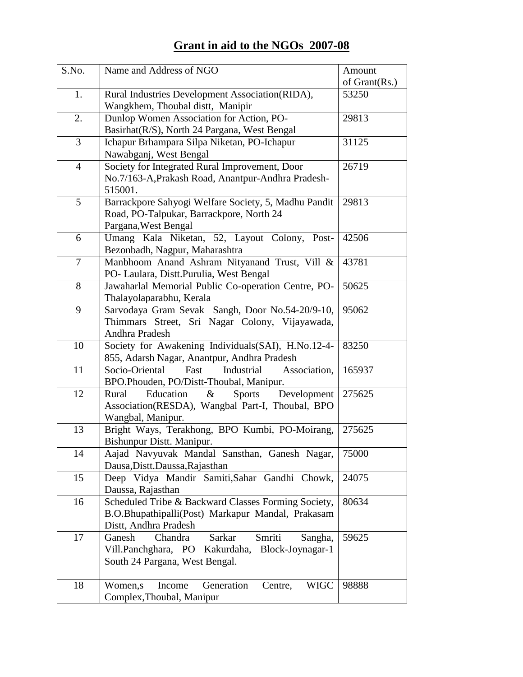# **Grant in aid to the NGOs 2007-08**

| S.No.          | Name and Address of NGO                                                                           | Amount<br>of $Grant(Rs.)$ |
|----------------|---------------------------------------------------------------------------------------------------|---------------------------|
| 1.             | Rural Industries Development Association(RIDA),                                                   | 53250                     |
|                | Wangkhem, Thoubal distt, Manipir                                                                  |                           |
| 2.             | Dunlop Women Association for Action, PO-                                                          | 29813                     |
|                | Basirhat (R/S), North 24 Pargana, West Bengal                                                     |                           |
| 3              | Ichapur Brhampara Silpa Niketan, PO-Ichapur                                                       | 31125                     |
|                | Nawabganj, West Bengal                                                                            |                           |
| $\overline{4}$ | Society for Integrated Rural Improvement, Door                                                    | 26719                     |
|                | No.7/163-A, Prakash Road, Anantpur-Andhra Pradesh-                                                |                           |
|                | 515001.                                                                                           |                           |
| 5              | Barrackpore Sahyogi Welfare Society, 5, Madhu Pandit                                              | 29813                     |
|                | Road, PO-Talpukar, Barrackpore, North 24                                                          |                           |
|                | Pargana, West Bengal                                                                              |                           |
| 6              | Umang Kala Niketan, 52, Layout Colony,<br>Post-                                                   | 42506                     |
|                | Bezonbadh, Nagpur, Maharashtra                                                                    |                           |
| 7              | Manbhoom Anand Ashram Nityanand Trust, Vill &                                                     | 43781                     |
|                | PO- Laulara, Distt.Purulia, West Bengal                                                           |                           |
| 8              | Jawaharlal Memorial Public Co-operation Centre, PO-                                               | 50625                     |
|                | Thalayolaparabhu, Kerala                                                                          |                           |
| 9              | Sarvodaya Gram Sevak Sangh, Door No.54-20/9-10,                                                   | 95062                     |
|                | Thimmars Street, Sri Nagar Colony, Vijayawada,                                                    |                           |
| 10             | Andhra Pradesh                                                                                    | 83250                     |
|                | Society for Awakening Individuals(SAI), H.No.12-4-<br>855, Adarsh Nagar, Anantpur, Andhra Pradesh |                           |
| 11             | Socio-Oriental<br>Fast<br>Industrial<br>Association,                                              | 165937                    |
|                | BPO.Phouden, PO/Distt-Thoubal, Manipur.                                                           |                           |
| 12             | Rural<br>Education<br>$\&$<br>Development<br><b>Sports</b>                                        | 275625                    |
|                | Association(RESDA), Wangbal Part-I, Thoubal, BPO                                                  |                           |
|                | Wangbal, Manipur.                                                                                 |                           |
| 13             | Bright Ways, Terakhong, BPO Kumbi, PO-Moirang,                                                    | 275625                    |
|                | Bishunpur Distt. Manipur.                                                                         |                           |
| 14             | Aajad Navyuvak Mandal Sansthan, Ganesh Nagar,                                                     | 75000                     |
|                | Dausa, Distt. Daussa, Rajasthan                                                                   |                           |
| 15             | Deep Vidya Mandir Samiti, Sahar Gandhi Chowk,                                                     | 24075                     |
|                | Daussa, Rajasthan                                                                                 |                           |
| 16             | Scheduled Tribe & Backward Classes Forming Society,                                               | 80634                     |
|                | B.O.Bhupathipalli(Post) Markapur Mandal, Prakasam                                                 |                           |
|                | Distt, Andhra Pradesh                                                                             |                           |
| 17             | Ganesh<br>Chandra<br>Sarkar<br>Smriti<br>Sangha,                                                  | 59625                     |
|                | Vill.Panchghara, PO Kakurdaha,<br>Block-Joynagar-1                                                |                           |
|                | South 24 Pargana, West Bengal.                                                                    |                           |
| 18             | Income<br>Generation<br><b>WIGC</b><br>Women,s<br>Centre,                                         | 98888                     |
|                | Complex, Thoubal, Manipur                                                                         |                           |
|                |                                                                                                   |                           |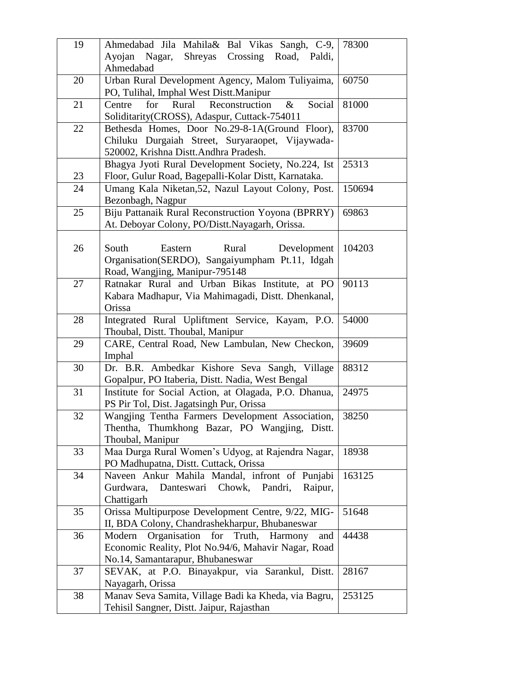| 19 | Ahmedabad Jila Mahila& Bal Vikas Sangh, C-9,              | 78300  |  |  |
|----|-----------------------------------------------------------|--------|--|--|
|    | Ayojan Nagar,<br>Shreyas Crossing Road, Paldi,            |        |  |  |
|    | Ahmedabad                                                 |        |  |  |
| 20 | Urban Rural Development Agency, Malom Tuliyaima,          | 60750  |  |  |
|    | PO, Tulihal, Imphal West Distt.Manipur                    |        |  |  |
| 21 | Rural<br>Reconstruction<br>Centre<br>for<br>&<br>Social   | 81000  |  |  |
|    | Soliditarity (CROSS), Adaspur, Cuttack-754011             |        |  |  |
| 22 | Bethesda Homes, Door No.29-8-1A(Ground Floor),            | 83700  |  |  |
|    | Chiluku Durgaiah Street, Suryaraopet, Vijaywada-          |        |  |  |
|    | 520002, Krishna Distt.Andhra Pradesh.                     |        |  |  |
|    | Bhagya Jyoti Rural Development Society, No.224, Ist       | 25313  |  |  |
| 23 | Floor, Gulur Road, Bagepalli-Kolar Distt, Karnataka.      |        |  |  |
| 24 | Umang Kala Niketan, 52, Nazul Layout Colony, Post.        | 150694 |  |  |
|    | Bezonbagh, Nagpur                                         |        |  |  |
| 25 | Biju Pattanaik Rural Reconstruction Yoyona (BPRRY)        | 69863  |  |  |
|    | At. Deboyar Colony, PO/Distt.Nayagarh, Orissa.            |        |  |  |
|    |                                                           |        |  |  |
| 26 | South<br>Rural<br>Eastern<br>Development                  | 104203 |  |  |
|    | Organisation(SERDO), Sangaiyumpham Pt.11, Idgah           |        |  |  |
|    | Road, Wangjing, Manipur-795148                            |        |  |  |
| 27 | Ratnakar Rural and Urban Bikas Institute, at PO           | 90113  |  |  |
|    | Kabara Madhapur, Via Mahimagadi, Distt. Dhenkanal,        |        |  |  |
|    | Orissa                                                    |        |  |  |
| 28 | Integrated Rural Upliftment Service, Kayam, P.O.          | 54000  |  |  |
|    | Thoubal, Distt. Thoubal, Manipur                          |        |  |  |
| 29 | CARE, Central Road, New Lambulan, New Checkon,            | 39609  |  |  |
|    | Imphal                                                    |        |  |  |
| 30 | Dr. B.R. Ambedkar Kishore Seva Sangh, Village             | 88312  |  |  |
|    | Gopalpur, PO Itaberia, Distt. Nadia, West Bengal          |        |  |  |
| 31 | Institute for Social Action, at Olagada, P.O. Dhanua,     | 24975  |  |  |
|    | PS Pir Tol, Dist. Jagatsingh Pur, Orissa                  |        |  |  |
| 32 | Wangjing Tentha Farmers Development Association,          | 38250  |  |  |
|    | Thentha, Thumkhong Bazar, PO Wangjing, Distt.             |        |  |  |
|    | Thoubal, Manipur                                          |        |  |  |
| 33 | Maa Durga Rural Women's Udyog, at Rajendra Nagar,         | 18938  |  |  |
|    | PO Madhupatna, Distt. Cuttack, Orissa                     |        |  |  |
| 34 | Naveen Ankur Mahila Mandal, infront of Punjabi            | 163125 |  |  |
|    | Gurdwara,<br>Danteswari Chowk, Pandri,<br>Raipur,         |        |  |  |
|    | Chattigarh                                                |        |  |  |
| 35 | Orissa Multipurpose Development Centre, 9/22, MIG-        | 51648  |  |  |
|    | II, BDA Colony, Chandrashekharpur, Bhubaneswar            |        |  |  |
| 36 | Organisation<br>for<br>Truth,<br>Modern<br>Harmony<br>and | 44438  |  |  |
|    | Economic Reality, Plot No.94/6, Mahavir Nagar, Road       |        |  |  |
|    | No.14, Samantarapur, Bhubaneswar                          |        |  |  |
| 37 | SEVAK, at P.O. Binayakpur, via Sarankul, Distt.           | 28167  |  |  |
|    | Nayagarh, Orissa                                          |        |  |  |
| 38 | Manav Seva Samita, Village Badi ka Kheda, via Bagru,      | 253125 |  |  |
|    | Tehisil Sangner, Distt. Jaipur, Rajasthan                 |        |  |  |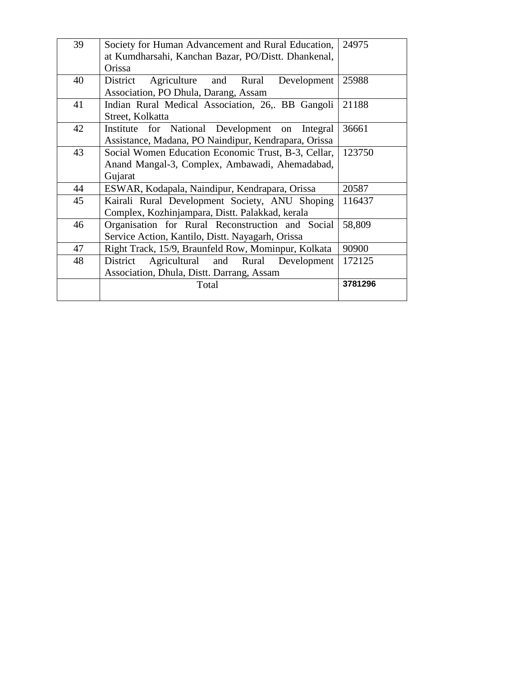| 39 | Society for Human Advancement and Rural Education,   | 24975   |  |  |  |  |
|----|------------------------------------------------------|---------|--|--|--|--|
|    | at Kumdharsahi, Kanchan Bazar, PO/Distt. Dhankenal,  |         |  |  |  |  |
|    | Orissa                                               |         |  |  |  |  |
| 40 | Agriculture and Rural Development<br>District        | 25988   |  |  |  |  |
|    | Association, PO Dhula, Darang, Assam                 |         |  |  |  |  |
| 41 | Indian Rural Medical Association, 26, BB Gangoli     | 21188   |  |  |  |  |
|    | Street, Kolkatta                                     |         |  |  |  |  |
| 42 | Institute for National Development on Integral       | 36661   |  |  |  |  |
|    | Assistance, Madana, PO Naindipur, Kendrapara, Orissa |         |  |  |  |  |
| 43 | Social Women Education Economic Trust, B-3, Cellar,  | 123750  |  |  |  |  |
|    | Anand Mangal-3, Complex, Ambawadi, Ahemadabad,       |         |  |  |  |  |
|    | Gujarat                                              |         |  |  |  |  |
| 44 | ESWAR, Kodapala, Naindipur, Kendrapara, Orissa       | 20587   |  |  |  |  |
| 45 | Kairali Rural Development Society, ANU Shoping       |         |  |  |  |  |
|    | Complex, Kozhinjampara, Distt. Palakkad, kerala      |         |  |  |  |  |
| 46 | Organisation for Rural Reconstruction and Social     | 58,809  |  |  |  |  |
|    | Service Action, Kantilo, Distt. Nayagarh, Orissa     |         |  |  |  |  |
| 47 | Right Track, 15/9, Braunfeld Row, Mominpur, Kolkata  | 90900   |  |  |  |  |
| 48 | Agricultural and Rural Development<br>District       | 172125  |  |  |  |  |
|    | Association, Dhula, Distt. Darrang, Assam            |         |  |  |  |  |
|    | Total                                                | 3781296 |  |  |  |  |
|    |                                                      |         |  |  |  |  |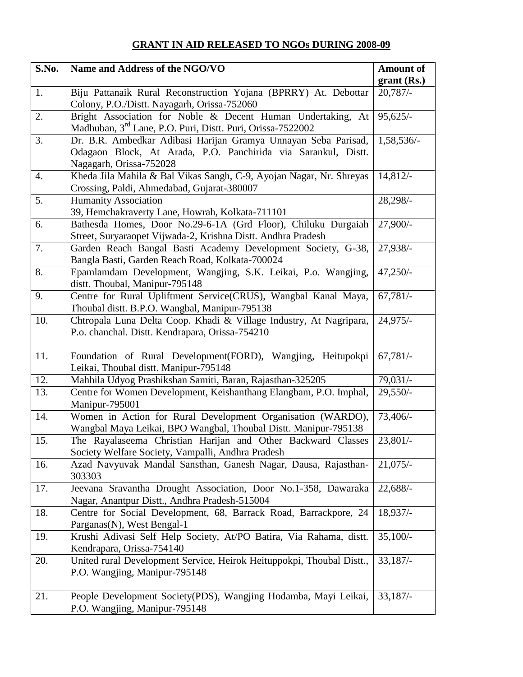## **GRANT IN AID RELEASED TO NGOs DURING 2008-09**

| S.No. | Name and Address of the NGO/VO                                                                                                                             |                             |  |
|-------|------------------------------------------------------------------------------------------------------------------------------------------------------------|-----------------------------|--|
|       |                                                                                                                                                            | $grant$ (Rs.)<br>$20,787/-$ |  |
| 1.    | Biju Pattanaik Rural Reconstruction Yojana (BPRRY) At. Debottar<br>Colony, P.O./Distt. Nayagarh, Orissa-752060                                             |                             |  |
| 2.    | Bright Association for Noble & Decent Human Undertaking, At<br>Madhuban, 3 <sup>rd</sup> Lane, P.O. Puri, Distt. Puri, Orissa-7522002                      | $95,625/-$                  |  |
| 3.    | Dr. B.R. Ambedkar Adibasi Harijan Gramya Unnayan Seba Parisad,<br>Odagaon Block, At Arada, P.O. Panchirida via Sarankul, Distt.<br>Nagagarh, Orissa-752028 | 1,58,536/-                  |  |
| 4.    | Kheda Jila Mahila & Bal Vikas Sangh, C-9, Ayojan Nagar, Nr. Shreyas<br>Crossing, Paldi, Ahmedabad, Gujarat-380007                                          | 14,812/                     |  |
| 5.    | <b>Humanity Association</b><br>39, Hemchakraverty Lane, Howrah, Kolkata-711101                                                                             | 28,298/-                    |  |
| 6.    | Bathesda Homes, Door No.29-6-1A (Grd Floor), Chiluku Durgaiah<br>Street, Suryaraopet Vijwada-2, Krishna Distt. Andhra Pradesh                              | 27,900/-                    |  |
| 7.    | Garden Reach Bangal Basti Academy Development Society, G-38,<br>Bangla Basti, Garden Reach Road, Kolkata-700024                                            | 27,938/-                    |  |
| 8.    | Epamlamdam Development, Wangjing, S.K. Leikai, P.o. Wangjing,<br>distt. Thoubal, Manipur-795148                                                            | $47,250/-$                  |  |
| 9.    | Centre for Rural Upliftment Service(CRUS), Wangbal Kanal Maya,<br>Thoubal distt. B.P.O. Wangbal, Manipur-795138                                            | $67,781/-$                  |  |
| 10.   | Chtropala Luna Delta Coop. Khadi & Village Industry, At Nagripara,<br>P.o. chanchal. Distt. Kendrapara, Orissa-754210                                      | $24,975/-$                  |  |
| 11.   | Foundation of Rural Development(FORD), Wangjing, Heitupokpi<br>Leikai, Thoubal distt. Manipur-795148                                                       | $67,781/-$                  |  |
| 12.   | Mahhila Udyog Prashikshan Samiti, Baran, Rajasthan-325205                                                                                                  | $79,031/-$                  |  |
| 13.   | Centre for Women Development, Keishanthang Elangbam, P.O. Imphal,<br>Manipur-795001                                                                        | $29,550/-$                  |  |
| 14.   | Women in Action for Rural Development Organisation (WARDO),<br>Wangbal Maya Leikai, BPO Wangbal, Thoubal Distt. Manipur-795138                             | 73,406/-                    |  |
| 15.   | The Rayalaseema Christian Harijan and Other Backward Classes<br>Society Welfare Society, Vampalli, Andhra Pradesh                                          | $23,801/-$                  |  |
| 16.   | Azad Navyuvak Mandal Sansthan, Ganesh Nagar, Dausa, Rajasthan-<br>303303                                                                                   | $21,075/-$                  |  |
| 17.   | Jeevana Sravantha Drought Association, Door No.1-358, Dawaraka<br>Nagar, Anantpur Distt., Andhra Pradesh-515004                                            | 22,688/                     |  |
| 18.   | Centre for Social Development, 68, Barrack Road, Barrackpore, 24<br>Parganas(N), West Bengal-1                                                             | 18,937/-                    |  |
| 19.   | Krushi Adivasi Self Help Society, At/PO Batira, Via Rahama, distt.<br>Kendrapara, Orissa-754140                                                            | $35,100/-$                  |  |
| 20.   | United rural Development Service, Heirok Heituppokpi, Thoubal Distt.,<br>P.O. Wangjing, Manipur-795148                                                     | $33,187/-$                  |  |
| 21.   | People Development Society(PDS), Wangjing Hodamba, Mayi Leikai,<br>P.O. Wangjing, Manipur-795148                                                           | $33,187/-$                  |  |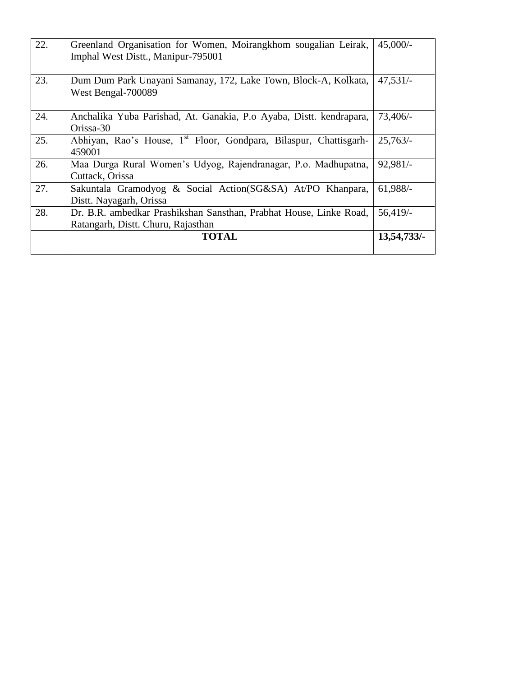| 22. | Greenland Organisation for Women, Moirangkhom sougalian Leirak,<br>Imphal West Distt., Manipur-795001    | $45,000/-$  |
|-----|----------------------------------------------------------------------------------------------------------|-------------|
| 23. | Dum Dum Park Unayani Samanay, 172, Lake Town, Block-A, Kolkata,<br>West Bengal-700089                    | $47,531/-$  |
| 24. | Anchalika Yuba Parishad, At. Ganakia, P.o Ayaba, Distt. kendrapara,<br>Orissa-30                         | $73,406/-$  |
| 25. | Abhiyan, Rao's House, 1 <sup>st</sup> Floor, Gondpara, Bilaspur, Chattisgarh-<br>459001                  | $25,763/-$  |
| 26. | Maa Durga Rural Women's Udyog, Rajendranagar, P.o. Madhupatna,<br>Cuttack, Orissa                        | $92,981/-$  |
| 27. | Sakuntala Gramodyog & Social Action(SG&SA) At/PO Khanpara,<br>Distt. Nayagarh, Orissa                    | $61,988/-$  |
| 28. | Dr. B.R. ambedkar Prashikshan Sansthan, Prabhat House, Linke Road,<br>Ratangarh, Distt. Churu, Rajasthan | $56,419/$ - |
|     | <b>TOTAL</b>                                                                                             | 13,54,733/  |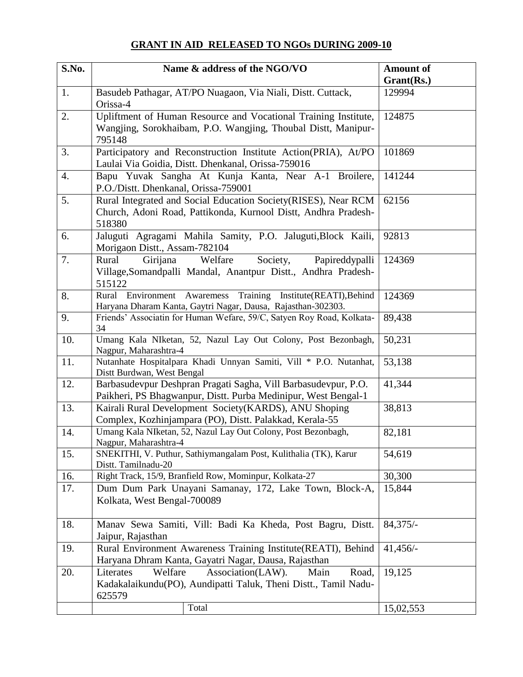## **GRANT IN AID RELEASED TO NGOs DURING 2009-10**

| S.No. | Name & address of the NGO/VO                                                                                                          | <b>Amount of</b>     |  |  |
|-------|---------------------------------------------------------------------------------------------------------------------------------------|----------------------|--|--|
| 1.    | Basudeb Pathagar, AT/PO Nuagaon, Via Niali, Distt. Cuttack,                                                                           | Grant(Rs.)<br>129994 |  |  |
|       | Orissa-4                                                                                                                              |                      |  |  |
| 2.    | Upliftment of Human Resource and Vocational Training Institute,                                                                       | 124875               |  |  |
|       | Wangjing, Sorokhaibam, P.O. Wangjing, Thoubal Distt, Manipur-                                                                         |                      |  |  |
|       | 795148                                                                                                                                |                      |  |  |
| 3.    | Participatory and Reconstruction Institute Action(PRIA), At/PO                                                                        | 101869               |  |  |
|       | Laulai Via Goidia, Distt. Dhenkanal, Orissa-759016                                                                                    |                      |  |  |
| 4.    | Bapu Yuvak Sangha At Kunja Kanta, Near A-1 Broilere,                                                                                  | 141244               |  |  |
| 5.    | P.O./Distt. Dhenkanal, Orissa-759001                                                                                                  | 62156                |  |  |
|       | Rural Integrated and Social Education Society (RISES), Near RCM<br>Church, Adoni Road, Pattikonda, Kurnool Distt, Andhra Pradesh-     |                      |  |  |
|       | 518380                                                                                                                                |                      |  |  |
| 6.    | Jaluguti Agragami Mahila Samity, P.O. Jaluguti, Block Kaili,                                                                          | 92813                |  |  |
|       | Morigaon Distt., Assam-782104                                                                                                         |                      |  |  |
| 7.    | Rural<br>Welfare<br>Society,<br>Papireddypalli<br>Girijana                                                                            | 124369               |  |  |
|       | Village, Somandpalli Mandal, Anantpur Distt., Andhra Pradesh-                                                                         |                      |  |  |
|       | 515122                                                                                                                                |                      |  |  |
| 8.    | Rural Environment Awaremess Training Institute(REATI), Behind                                                                         | 124369               |  |  |
| 9.    | Haryana Dharam Kanta, Gaytri Nagar, Dausa, Rajasthan-302303.<br>Friends' Associatin for Human Wefare, 59/C, Satyen Roy Road, Kolkata- | 89,438               |  |  |
|       | 34                                                                                                                                    |                      |  |  |
| 10.   | Umang Kala NIketan, 52, Nazul Lay Out Colony, Post Bezonbagh,                                                                         | 50,231               |  |  |
|       | Nagpur, Maharashtra-4                                                                                                                 |                      |  |  |
| 11.   | Nutanhate Hospitalpara Khadi Unnyan Samiti, Vill * P.O. Nutanhat,                                                                     | 53,138               |  |  |
| 12.   | Distt Burdwan, West Bengal<br>Barbasudevpur Deshpran Pragati Sagha, Vill Barbasudevpur, P.O.                                          | 41,344               |  |  |
|       | Paikheri, PS Bhagwanpur, Distt. Purba Medinipur, West Bengal-1                                                                        |                      |  |  |
| 13.   | Kairali Rural Development Society(KARDS), ANU Shoping                                                                                 | 38,813               |  |  |
|       | Complex, Kozhinjampara (PO), Distt. Palakkad, Kerala-55                                                                               |                      |  |  |
| 14.   | Umang Kala NIketan, 52, Nazul Lay Out Colony, Post Bezonbagh,                                                                         | 82,181               |  |  |
|       | Nagpur, Maharashtra-4                                                                                                                 |                      |  |  |
| 15.   | SNEKITHI, V. Puthur, Sathiymangalam Post, Kulithalia (TK), Karur<br>Distt. Tamilnadu-20                                               | 54,619               |  |  |
| 16.   | Right Track, 15/9, Branfield Row, Mominpur, Kolkata-27                                                                                | 30,300               |  |  |
| 17.   | Dum Dum Park Unayani Samanay, 172, Lake Town, Block-A,                                                                                | 15,844               |  |  |
|       | Kolkata, West Bengal-700089                                                                                                           |                      |  |  |
|       |                                                                                                                                       |                      |  |  |
| 18.   | Manav Sewa Samiti, Vill: Badi Ka Kheda, Post Bagru, Distt.                                                                            | $84,375/-$           |  |  |
|       | Jaipur, Rajasthan                                                                                                                     |                      |  |  |
| 19.   | Rural Environment Awareness Training Institute(REATI), Behind                                                                         | $41,456/-$           |  |  |
|       | Haryana Dhram Kanta, Gayatri Nagar, Dausa, Rajasthan                                                                                  |                      |  |  |
| 20.   | Association(LAW).<br>Literates<br>Welfare<br>Road,<br>Main                                                                            | 19,125               |  |  |
|       | Kadakalaikundu(PO), Aundipatti Taluk, Theni Distt., Tamil Nadu-<br>625579                                                             |                      |  |  |
|       | Total                                                                                                                                 | 15,02,553            |  |  |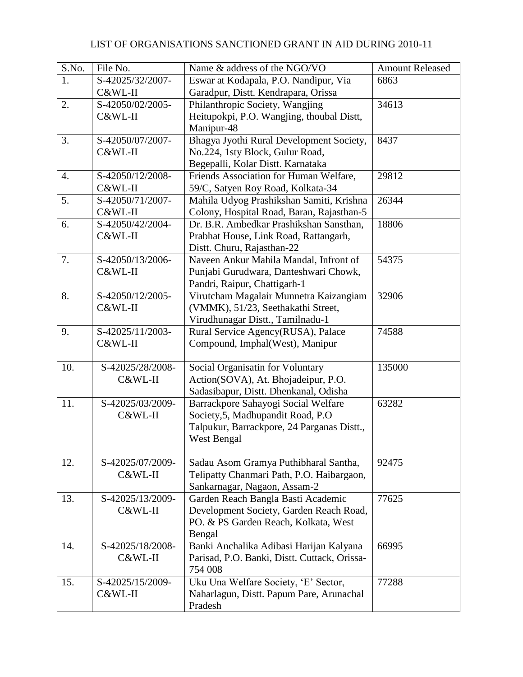| S.No. | File No.         | Name & address of the NGO/VO                                                     | <b>Amount Released</b> |
|-------|------------------|----------------------------------------------------------------------------------|------------------------|
| 1.    | S-42025/32/2007- | Eswar at Kodapala, P.O. Nandipur, Via                                            | 6863                   |
|       | C&WL-II          | Garadpur, Distt. Kendrapara, Orissa                                              |                        |
| 2.    | S-42050/02/2005- | Philanthropic Society, Wangjing                                                  | 34613                  |
|       | C&WL-II          | Heitupokpi, P.O. Wangjing, thoubal Distt,                                        |                        |
|       |                  | Manipur-48                                                                       |                        |
| 3.    | S-42050/07/2007- | Bhagya Jyothi Rural Development Society,                                         | 8437                   |
|       | C&WL-II          | No.224, 1sty Block, Gulur Road,                                                  |                        |
|       |                  | Begepalli, Kolar Distt. Karnataka                                                |                        |
| 4.    | S-42050/12/2008- | Friends Association for Human Welfare,                                           | 29812                  |
|       | C&WL-II          | 59/C, Satyen Roy Road, Kolkata-34                                                |                        |
| 5.    | S-42050/71/2007- | Mahila Udyog Prashikshan Samiti, Krishna                                         | 26344                  |
|       | C&WL-II          | Colony, Hospital Road, Baran, Rajasthan-5                                        |                        |
| 6.    | S-42050/42/2004- | Dr. B.R. Ambedkar Prashikshan Sansthan,                                          | 18806                  |
|       | C&WL-II          | Prabhat House, Link Road, Rattangarh,                                            |                        |
|       |                  | Distt. Churu, Rajasthan-22                                                       |                        |
| 7.    | S-42050/13/2006- | Naveen Ankur Mahila Mandal, Infront of                                           | 54375                  |
|       | C&WL-II          | Punjabi Gurudwara, Danteshwari Chowk,                                            |                        |
|       |                  | Pandri, Raipur, Chattigarh-1                                                     |                        |
| 8.    | S-42050/12/2005- | Virutcham Magalair Munnetra Kaizangiam                                           | 32906                  |
|       | C&WL-II          | (VMMK), 51/23, Seethakathi Street,                                               |                        |
|       |                  | Virudhunagar Distt., Tamilnadu-1                                                 |                        |
| 9.    | S-42025/11/2003- | Rural Service Agency(RUSA), Palace                                               | 74588                  |
|       | C&WL-II          | Compound, Imphal(West), Manipur                                                  |                        |
|       |                  |                                                                                  |                        |
| 10.   | S-42025/28/2008- | Social Organisatin for Voluntary                                                 | 135000                 |
|       | C&WL-II          | Action(SOVA), At. Bhojadeipur, P.O.                                              |                        |
|       |                  | Sadasibapur, Distt. Dhenkanal, Odisha                                            |                        |
| 11.   | S-42025/03/2009- | Barrackpore Sahayogi Social Welfare                                              | 63282                  |
|       | C&WL-II          | Society, 5, Madhupandit Road, P.O.<br>Talpukur, Barrackpore, 24 Parganas Distt., |                        |
|       |                  | West Bengal                                                                      |                        |
|       |                  |                                                                                  |                        |
| 12.   | S-42025/07/2009- | Sadau Asom Gramya Puthibharal Santha,                                            | 92475                  |
|       | C&WL-II          | Telipatty Chanmari Path, P.O. Haibargaon,                                        |                        |
|       |                  | Sankarnagar, Nagaon, Assam-2                                                     |                        |
| 13.   | S-42025/13/2009- | Garden Reach Bangla Basti Academic                                               | 77625                  |
|       | C&WL-II          | Development Society, Garden Reach Road,                                          |                        |
|       |                  | PO. & PS Garden Reach, Kolkata, West                                             |                        |
|       |                  | Bengal                                                                           |                        |
| 14.   | S-42025/18/2008- | Banki Anchalika Adibasi Harijan Kalyana                                          | 66995                  |
|       | C&WL-II          | Parisad, P.O. Banki, Distt. Cuttack, Orissa-                                     |                        |
|       |                  | 754 008                                                                          |                        |
| 15.   | S-42025/15/2009- | Uku Una Welfare Society, 'E' Sector,                                             | 77288                  |
|       | C&WL-II          | Naharlagun, Distt. Papum Pare, Arunachal                                         |                        |
|       |                  | Pradesh                                                                          |                        |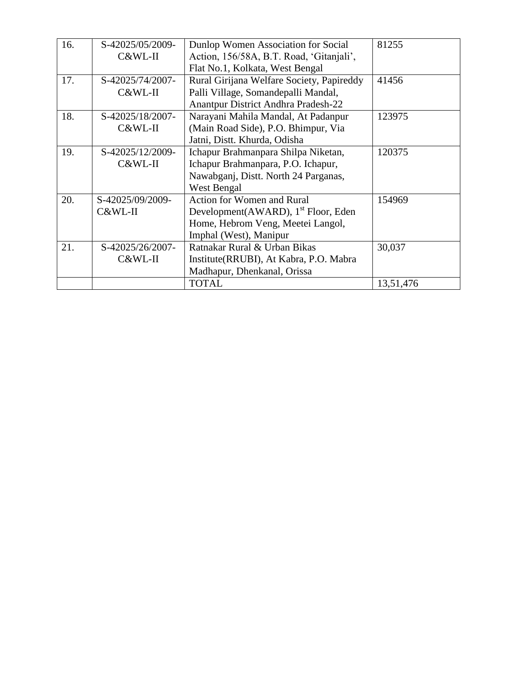| 16. | S-42025/05/2009- | Dunlop Women Association for Social             | 81255     |
|-----|------------------|-------------------------------------------------|-----------|
|     | C&WL-II          | Action, 156/58A, B.T. Road, 'Gitanjali',        |           |
|     |                  | Flat No.1, Kolkata, West Bengal                 |           |
| 17. | S-42025/74/2007- | Rural Girijana Welfare Society, Papireddy       | 41456     |
|     | C&WL-II          | Palli Village, Somandepalli Mandal,             |           |
|     |                  | Anantpur District Andhra Pradesh-22             |           |
| 18. | S-42025/18/2007- | Narayani Mahila Mandal, At Padanpur             | 123975    |
|     | C&WL-II          | (Main Road Side), P.O. Bhimpur, Via             |           |
|     |                  | Jatni, Distt. Khurda, Odisha                    |           |
| 19. | S-42025/12/2009- | Ichapur Brahmanpara Shilpa Niketan,             | 120375    |
|     | C&WL-II          | Ichapur Brahmanpara, P.O. Ichapur,              |           |
|     |                  | Nawabganj, Distt. North 24 Parganas,            |           |
|     |                  | West Bengal                                     |           |
| 20. | S-42025/09/2009- | <b>Action for Women and Rural</b>               | 154969    |
|     | C&WL-II          | Development(AWARD), 1 <sup>st</sup> Floor, Eden |           |
|     |                  | Home, Hebrom Veng, Meetei Langol,               |           |
|     |                  | Imphal (West), Manipur                          |           |
| 21. | S-42025/26/2007- | Ratnakar Rural & Urban Bikas                    | 30,037    |
|     | C&WL-II          | Institute(RRUBI), At Kabra, P.O. Mabra          |           |
|     |                  | Madhapur, Dhenkanal, Orissa                     |           |
|     |                  | <b>TOTAL</b>                                    | 13,51,476 |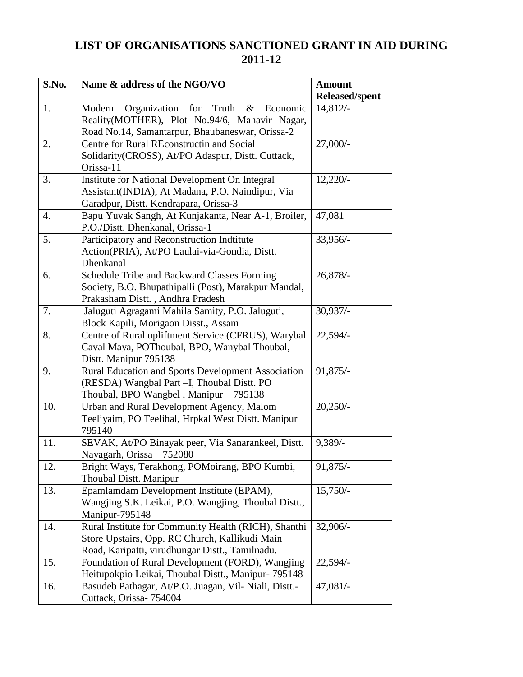## **LIST OF ORGANISATIONS SANCTIONED GRANT IN AID DURING 2011-12**

| S.No. | Name & address of the NGO/VO                               | <b>Amount</b>         |  |
|-------|------------------------------------------------------------|-----------------------|--|
|       |                                                            | <b>Released/spent</b> |  |
| 1.    | Organization<br>Truth<br>Modern<br>for<br>$\&$<br>Economic | 14,812/               |  |
|       | Reality(MOTHER), Plot No.94/6, Mahavir Nagar,              |                       |  |
|       | Road No.14, Samantarpur, Bhaubaneswar, Orissa-2            |                       |  |
| 2.    | Centre for Rural REconstructin and Social                  | 27,000/-              |  |
|       | Solidarity(CROSS), At/PO Adaspur, Distt. Cuttack,          |                       |  |
|       | Orissa-11                                                  |                       |  |
| 3.    | Institute for National Development On Integral             | $12,220/-$            |  |
|       | Assistant(INDIA), At Madana, P.O. Naindipur, Via           |                       |  |
|       | Garadpur, Distt. Kendrapara, Orissa-3                      |                       |  |
| 4.    | Bapu Yuvak Sangh, At Kunjakanta, Near A-1, Broiler,        | 47,081                |  |
|       | P.O./Distt. Dhenkanal, Orissa-1                            |                       |  |
| 5.    | Participatory and Reconstruction Indtitute                 | 33,956/-              |  |
|       | Action(PRIA), At/PO Laulai-via-Gondia, Distt.              |                       |  |
|       | Dhenkanal                                                  |                       |  |
| 6.    | Schedule Tribe and Backward Classes Forming                | 26,878/-              |  |
|       | Society, B.O. Bhupathipalli (Post), Marakpur Mandal,       |                       |  |
|       | Prakasham Distt., Andhra Pradesh                           |                       |  |
| 7.    | Jaluguti Agragami Mahila Samity, P.O. Jaluguti,            | $30,937/-$            |  |
|       | Block Kapili, Morigaon Disst., Assam                       |                       |  |
| 8.    | Centre of Rural upliftment Service (CFRUS), Warybal        | $22,594/-$            |  |
|       | Caval Maya, POThoubal, BPO, Wanybal Thoubal,               |                       |  |
|       | Distt. Manipur 795138                                      |                       |  |
| 9.    | Rural Education and Sports Development Association         | $91,875/-$            |  |
|       | (RESDA) Wangbal Part -I, Thoubal Distt. PO                 |                       |  |
|       | Thoubal, BPO Wangbel, Manipur – 795138                     |                       |  |
| 10.   | Urban and Rural Development Agency, Malom                  | $20,250/-$            |  |
|       | Teeliyaim, PO Teelihal, Hrpkal West Distt. Manipur         |                       |  |
|       | 795140                                                     |                       |  |
| 11.   | SEVAK, At/PO Binayak peer, Via Sanarankeel, Distt.         | $9,389/$ -            |  |
|       | Nayagarh, Orissa - 752080                                  |                       |  |
| 12.   | Bright Ways, Terakhong, POMoirang, BPO Kumbi,              | 91,875/-              |  |
|       | <b>Thoubal Distt. Manipur</b>                              |                       |  |
| 13.   | Epamlamdam Development Institute (EPAM),                   | $15,750/-$            |  |
|       | Wangjing S.K. Leikai, P.O. Wangjing, Thoubal Distt.,       |                       |  |
|       | Manipur-795148                                             |                       |  |
| 14.   | Rural Institute for Community Health (RICH), Shanthi       | $32,906/-$            |  |
|       | Store Upstairs, Opp. RC Church, Kallikudi Main             |                       |  |
|       | Road, Karipatti, virudhungar Distt., Tamilnadu.            |                       |  |
| 15.   | Foundation of Rural Development (FORD), Wangjing           | $22,594/-$            |  |
|       | Heitupokpio Leikai, Thoubal Distt., Manipur- 795148        |                       |  |
| 16.   | Basudeb Pathagar, At/P.O. Juagan, Vil- Niali, Distt.-      | $47,081/-$            |  |
|       | Cuttack, Orissa- 754004                                    |                       |  |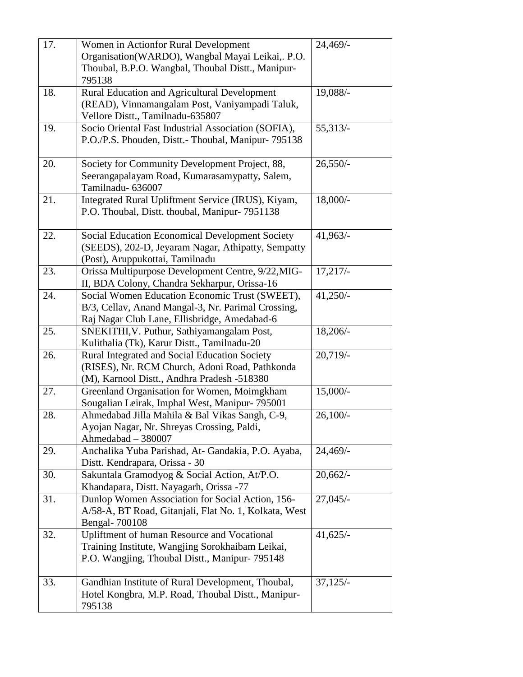| 17. | Women in Actionfor Rural Development                                                             | 24,469/-    |
|-----|--------------------------------------------------------------------------------------------------|-------------|
|     | Organisation(WARDO), Wangbal Mayai Leikai,. P.O.                                                 |             |
|     | Thoubal, B.P.O. Wangbal, Thoubal Distt., Manipur-                                                |             |
|     | 795138                                                                                           |             |
| 18. | Rural Education and Agricultural Development                                                     | 19,088/-    |
|     | (READ), Vinnamangalam Post, Vaniyampadi Taluk,                                                   |             |
|     | Vellore Distt., Tamilnadu-635807                                                                 |             |
| 19. | Socio Oriental Fast Industrial Association (SOFIA),                                              | 55,313/     |
|     | P.O./P.S. Phouden, Distt.- Thoubal, Manipur- 795138                                              |             |
| 20. | Society for Community Development Project, 88,                                                   | $26,550/-$  |
|     | Seerangapalayam Road, Kumarasamypatty, Salem,                                                    |             |
|     | Tamilnadu- 636007                                                                                |             |
| 21. | Integrated Rural Upliftment Service (IRUS), Kiyam,                                               | $18,000/-$  |
|     | P.O. Thoubal, Distt. thoubal, Manipur- 7951138                                                   |             |
|     |                                                                                                  |             |
| 22. | <b>Social Education Economical Development Society</b>                                           | $41,963/$ - |
|     | (SEEDS), 202-D, Jeyaram Nagar, Athipatty, Sempatty                                               |             |
|     | (Post), Aruppukottai, Tamilnadu                                                                  |             |
| 23. | Orissa Multipurpose Development Centre, 9/22, MIG-                                               | 17,217/     |
|     | II, BDA Colony, Chandra Sekharpur, Orissa-16                                                     |             |
| 24. | Social Women Education Economic Trust (SWEET),                                                   | $41,250/-$  |
|     | B/3, Cellav, Anand Mangal-3, Nr. Parimal Crossing,                                               |             |
|     | Raj Nagar Club Lane, Ellisbridge, Amedabad-6                                                     |             |
| 25. | SNEKITHI, V. Puthur, Sathiyamangalam Post,                                                       | $18,206/-$  |
|     | Kulithalia (Tk), Karur Distt., Tamilnadu-20                                                      |             |
| 26. | Rural Integrated and Social Education Society                                                    | 20,719/     |
|     | (RISES), Nr. RCM Church, Adoni Road, Pathkonda                                                   |             |
|     | (M), Karnool Distt., Andhra Pradesh -518380                                                      |             |
| 27. | Greenland Organisation for Women, Moimgkham                                                      | $15,000/-$  |
| 28. | Sougalian Leirak, Imphal West, Manipur- 795001<br>Ahmedabad Jilla Mahila & Bal Vikas Sangh, C-9, | $26,100/-$  |
|     | Ayojan Nagar, Nr. Shreyas Crossing, Paldi,                                                       |             |
|     | Ahmedabad - 380007                                                                               |             |
| 29. | Anchalika Yuba Parishad, At- Gandakia, P.O. Ayaba,                                               | 24,469/-    |
|     | Distt. Kendrapara, Orissa - 30                                                                   |             |
| 30. | Sakuntala Gramodyog & Social Action, At/P.O.                                                     | 20,662/     |
|     | Khandapara, Distt. Nayagarh, Orissa -77                                                          |             |
| 31. | Dunlop Women Association for Social Action, 156-                                                 | $27,045/-$  |
|     | A/58-A, BT Road, Gitanjali, Flat No. 1, Kolkata, West                                            |             |
|     | Bengal- 700108                                                                                   |             |
| 32. | Upliftment of human Resource and Vocational                                                      | $41,625/-$  |
|     | Training Institute, Wangjing Sorokhaibam Leikai,                                                 |             |
|     | P.O. Wangjing, Thoubal Distt., Manipur- 795148                                                   |             |
|     |                                                                                                  |             |
| 33. | Gandhian Institute of Rural Development, Thoubal,                                                | $37,125/-$  |
|     | Hotel Kongbra, M.P. Road, Thoubal Distt., Manipur-<br>795138                                     |             |
|     |                                                                                                  |             |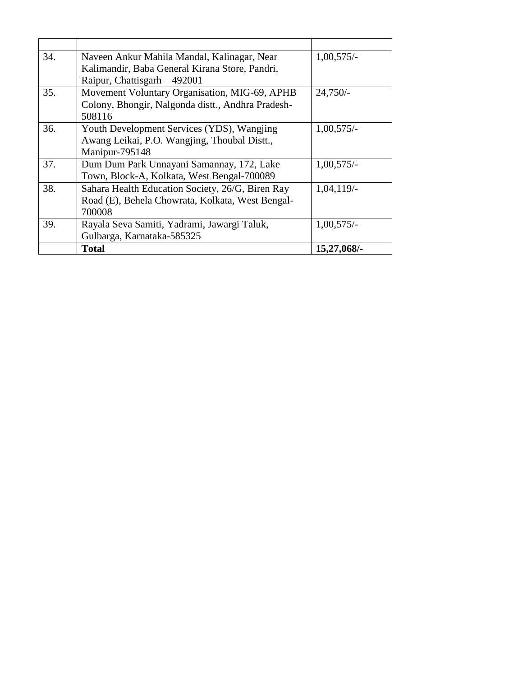| 34. | Naveen Ankur Mahila Mandal, Kalinagar, Near       | $1,00,575/-$ |
|-----|---------------------------------------------------|--------------|
|     | Kalimandir, Baba General Kirana Store, Pandri,    |              |
|     | Raipur, Chattisgarh - 492001                      |              |
| 35. | Movement Voluntary Organisation, MIG-69, APHB     | $24,750/-$   |
|     | Colony, Bhongir, Nalgonda distt., Andhra Pradesh- |              |
|     | 508116                                            |              |
| 36. | Youth Development Services (YDS), Wangjing        | $1,00,575/-$ |
|     | Awang Leikai, P.O. Wangjing, Thoubal Distt.,      |              |
|     | Manipur-795148                                    |              |
| 37. | Dum Dum Park Unnayani Samannay, 172, Lake         | $1,00,575/-$ |
|     | Town, Block-A, Kolkata, West Bengal-700089        |              |
| 38. | Sahara Health Education Society, 26/G, Biren Ray  | 1,04,119/    |
|     | Road (E), Behela Chowrata, Kolkata, West Bengal-  |              |
|     | 700008                                            |              |
| 39. | Rayala Seva Samiti, Yadrami, Jawargi Taluk,       | $1,00,575/-$ |
|     | Gulbarga, Karnataka-585325                        |              |
|     | <b>Total</b>                                      | 15,27,068/-  |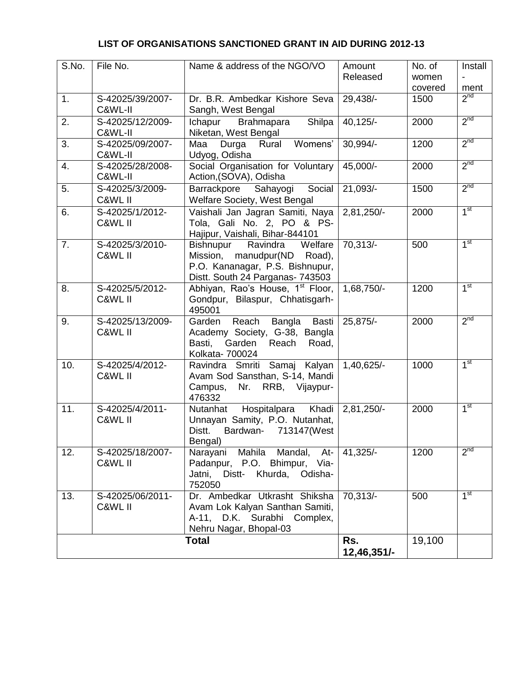#### **LIST OF ORGANISATIONS SANCTIONED GRANT IN AID DURING 2012-13**

| S.No. | File No.                    | Name & address of the NGO/VO                                                                                                              | Amount<br>Released | No. of<br>women<br>covered | Install<br>ment |
|-------|-----------------------------|-------------------------------------------------------------------------------------------------------------------------------------------|--------------------|----------------------------|-----------------|
| 1.    | S-42025/39/2007-<br>C&WL-II | Dr. B.R. Ambedkar Kishore Seva<br>Sangh, West Bengal                                                                                      | 29,438/-           | 1500                       | 2 <sup>nd</sup> |
| 2.    | S-42025/12/2009-<br>C&WL-II | Shilpa<br>Ichapur<br>Brahmapara<br>Niketan, West Bengal                                                                                   | $40,125/-$         | 2000                       | 2 <sup>nd</sup> |
| 3.    | S-42025/09/2007-<br>C&WL-II | Womens'<br>Maa<br>Durga<br>Rural<br>Udyog, Odisha                                                                                         | 30,994/-           | 1200                       | 2 <sup>nd</sup> |
| 4.    | S-42025/28/2008-<br>C&WL-II | Social Organisation for Voluntary<br>Action, (SOVA), Odisha                                                                               | 45,000/-           | 2000                       | 2 <sup>nd</sup> |
| 5.    | S-42025/3/2009-<br>C&WL II  | Barrackpore Sahayogi<br>Social<br>Welfare Society, West Bengal                                                                            | 21,093/-           | 1500                       | 2 <sup>nd</sup> |
| 6.    | S-42025/1/2012-<br>C&WL II  | Vaishali Jan Jagran Samiti, Naya<br>Tola, Gali No. 2, PO & PS-<br>Hajipur, Vaishali, Bihar-844101                                         | 2,81,250/-         | 2000                       | 1 <sup>st</sup> |
| 7.    | S-42025/3/2010-<br>C&WL II  | Welfare<br>Bishnupur<br>Ravindra<br>Mission, manudpur(ND<br>Road),<br>P.O. Kananagar, P.S. Bishnupur,<br>Distt. South 24 Parganas- 743503 | 70,313/-           | 500                        | 1 <sup>st</sup> |
| 8.    | S-42025/5/2012-<br>C&WL II  | Abhiyan, Rao's House, 1 <sup>st</sup> Floor,<br>Gondpur, Bilaspur, Chhatisgarh-<br>495001                                                 | 1,68,750/-         | 1200                       | 1 <sup>st</sup> |
| 9.    | S-42025/13/2009-<br>C&WL II | Reach Bangla<br>Basti<br>Garden<br>Academy Society, G-38, Bangla<br>Garden<br>Reach<br>Basti,<br>Road,<br>Kolkata- 700024                 | 25,875/-           | 2000                       | 2 <sup>nd</sup> |
| 10.   | S-42025/4/2012-<br>C&WL II  | Ravindra Smriti Samaj Kalyan<br>Avam Sod Sansthan, S-14, Mandi<br>RRB, Vijaypur-<br>Campus,<br>Nr.<br>476332                              | 1,40,625/-         | 1000                       | 1 <sup>st</sup> |
| 11.   | S-42025/4/2011-<br>C&WL II  | Hospitalpara Khadi<br>Nutanhat<br>Unnayan Samity, P.O. Nutanhat,<br>Bardwan- 713147(West<br>Distt.<br>Bengal)                             | 2,81,250/-         | 2000                       | 1 <sup>st</sup> |
| 12.   | S-42025/18/2007-<br>C&WL II | Narayani<br>Mahila Mandal,<br>At-<br>Padanpur, P.O. Bhimpur, Via-<br>Distt- Khurda, Odisha-<br>Jatni,<br>752050                           | 41,325/-           | 1200                       | 2 <sub>nd</sub> |
| 13.   | S-42025/06/2011-<br>C&WL II | Dr. Ambedkar Utkrasht Shiksha<br>Avam Lok Kalyan Santhan Samiti,<br>A-11, D.K. Surabhi Complex,<br>Nehru Nagar, Bhopal-03                 | 70,313/-           | 500                        | 1 <sup>st</sup> |
|       |                             | <b>Total</b>                                                                                                                              | Rs.<br>12,46,351/- | 19,100                     |                 |